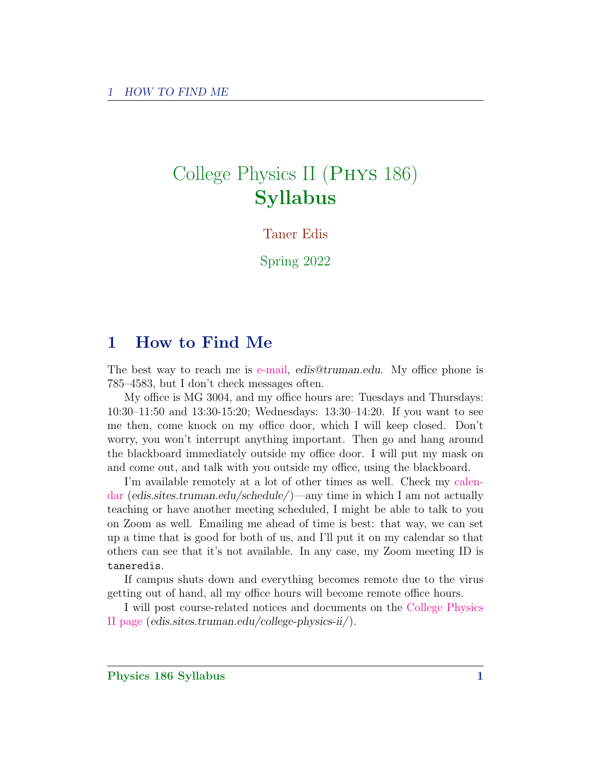# College Physics II (Phys 186) Syllabus

Taner Edis

Spring 2022

# 1 How to Find Me

The best way to reach me is [e-mail,](mailto:edis@truman.edu) edis@truman.edu. My office phone is 785–4583, but I don't check messages often.

My office is MG 3004, and my office hours are: Tuesdays and Thursdays: 10:30–11:50 and 13:30-15:20; Wednesdays: 13:30–14:20. If you want to see me then, come knock on my office door, which I will keep closed. Don't worry, you won't interrupt anything important. Then go and hang around the blackboard immediately outside my office door. I will put my mask on and come out, and talk with you outside my office, using the blackboard.

I'm available remotely at a lot of other times as well. Check my [calen](http://edis.sites.truman.edu/schedule/)[dar](http://edis.sites.truman.edu/schedule/) (edis.sites.truman.edu/schedule/)—any time in which I am not actually teaching or have another meeting scheduled, I might be able to talk to you on Zoom as well. Emailing me ahead of time is best: that way, we can set up a time that is good for both of us, and I'll put it on my calendar so that others can see that it's not available. In any case, my Zoom meeting ID is taneredis.

If campus shuts down and everything becomes remote due to the virus getting out of hand, all my office hours will become remote office hours.

I will post course-related notices and documents on the [College Physics](http://edis.sites.truman.edu/college-physics-ii/) [II page](http://edis.sites.truman.edu/college-physics-ii/) (edis.sites.truman.edu/college-physics-ii/).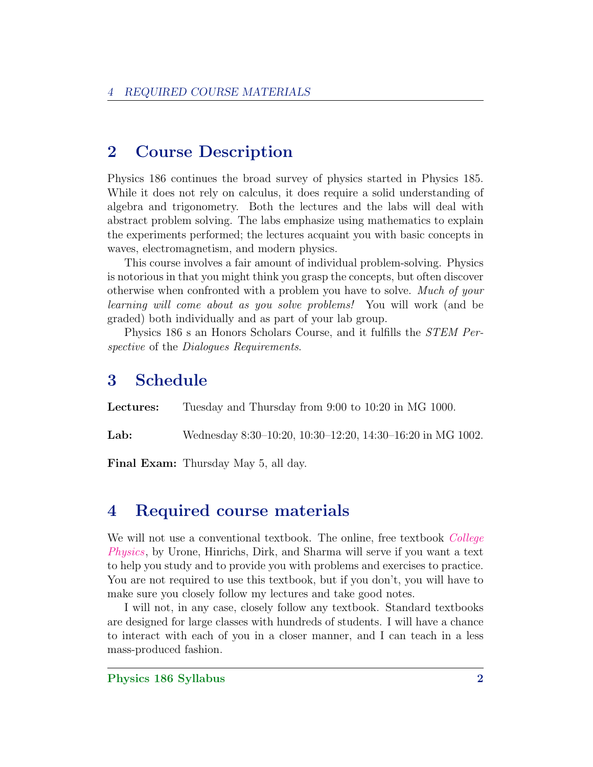# 2 Course Description

Physics 186 continues the broad survey of physics started in Physics 185. While it does not rely on calculus, it does require a solid understanding of algebra and trigonometry. Both the lectures and the labs will deal with abstract problem solving. The labs emphasize using mathematics to explain the experiments performed; the lectures acquaint you with basic concepts in waves, electromagnetism, and modern physics.

This course involves a fair amount of individual problem-solving. Physics is notorious in that you might think you grasp the concepts, but often discover otherwise when confronted with a problem you have to solve. Much of your learning will come about as you solve problems! You will work (and be graded) both individually and as part of your lab group.

Physics 186 s an Honors Scholars Course, and it fulfills the STEM Perspective of the Dialogues Requirements.

# 3 Schedule

Lectures: Tuesday and Thursday from 9:00 to 10:20 in MG 1000.

Lab: Wednesday 8:30–10:20, 10:30–12:20, 14:30–16:20 in MG 1002.

Final Exam: Thursday May 5, all day.

# 4 Required course materials

We will not use a conventional textbook. The online, free textbook *[College](https://openstax.org/details/books/college-physics)* [Physics](https://openstax.org/details/books/college-physics), by Urone, Hinrichs, Dirk, and Sharma will serve if you want a text to help you study and to provide you with problems and exercises to practice. You are not required to use this textbook, but if you don't, you will have to make sure you closely follow my lectures and take good notes.

I will not, in any case, closely follow any textbook. Standard textbooks are designed for large classes with hundreds of students. I will have a chance to interact with each of you in a closer manner, and I can teach in a less mass-produced fashion.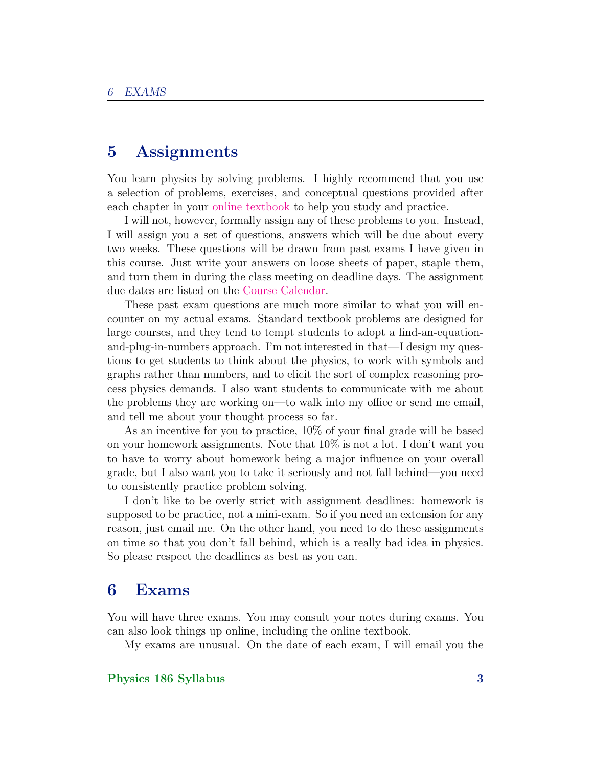### 5 Assignments

You learn physics by solving problems. I highly recommend that you use a selection of problems, exercises, and conceptual questions provided after each chapter in your [online textbook](https://openstax.org/details/books/college-physics) to help you study and practice.

I will not, however, formally assign any of these problems to you. Instead, I will assign you a set of questions, answers which will be due about every two weeks. These questions will be drawn from past exams I have given in this course. Just write your answers on loose sheets of paper, staple them, and turn them in during the class meeting on deadline days. The assignment due dates are listed on the [Course Calendar.](http://edis.sites.truman.edu/college-physics-ii/course-calendar/)

These past exam questions are much more similar to what you will encounter on my actual exams. Standard textbook problems are designed for large courses, and they tend to tempt students to adopt a find-an-equationand-plug-in-numbers approach. I'm not interested in that—I design my questions to get students to think about the physics, to work with symbols and graphs rather than numbers, and to elicit the sort of complex reasoning process physics demands. I also want students to communicate with me about the problems they are working on—to walk into my office or send me email, and tell me about your thought process so far.

As an incentive for you to practice, 10% of your final grade will be based on your homework assignments. Note that 10% is not a lot. I don't want you to have to worry about homework being a major influence on your overall grade, but I also want you to take it seriously and not fall behind—you need to consistently practice problem solving.

I don't like to be overly strict with assignment deadlines: homework is supposed to be practice, not a mini-exam. So if you need an extension for any reason, just email me. On the other hand, you need to do these assignments on time so that you don't fall behind, which is a really bad idea in physics. So please respect the deadlines as best as you can.

### 6 Exams

You will have three exams. You may consult your notes during exams. You can also look things up online, including the online textbook.

My exams are unusual. On the date of each exam, I will email you the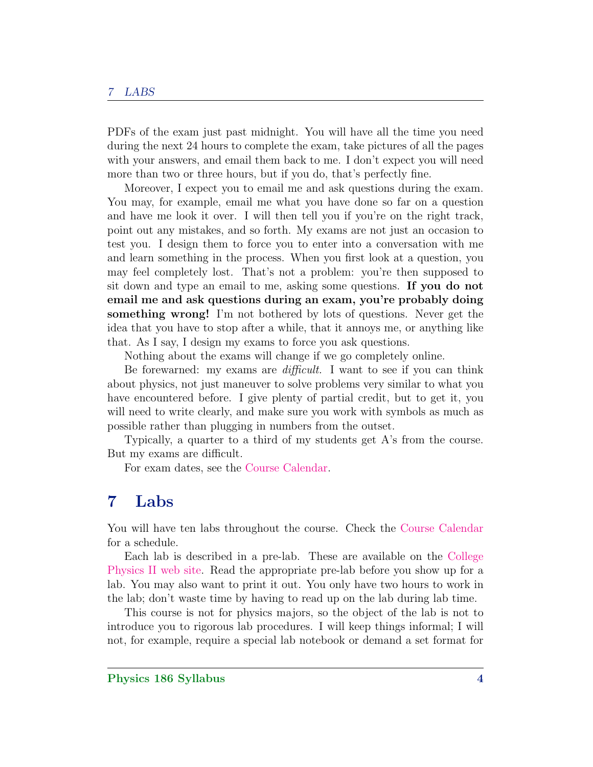#### 7 LABS

PDFs of the exam just past midnight. You will have all the time you need during the next 24 hours to complete the exam, take pictures of all the pages with your answers, and email them back to me. I don't expect you will need more than two or three hours, but if you do, that's perfectly fine.

Moreover, I expect you to email me and ask questions during the exam. You may, for example, email me what you have done so far on a question and have me look it over. I will then tell you if you're on the right track, point out any mistakes, and so forth. My exams are not just an occasion to test you. I design them to force you to enter into a conversation with me and learn something in the process. When you first look at a question, you may feel completely lost. That's not a problem: you're then supposed to sit down and type an email to me, asking some questions. If you do not email me and ask questions during an exam, you're probably doing something wrong! I'm not bothered by lots of questions. Never get the idea that you have to stop after a while, that it annoys me, or anything like that. As I say, I design my exams to force you ask questions.

Nothing about the exams will change if we go completely online.

Be forewarned: my exams are *difficult*. I want to see if you can think about physics, not just maneuver to solve problems very similar to what you have encountered before. I give plenty of partial credit, but to get it, you will need to write clearly, and make sure you work with symbols as much as possible rather than plugging in numbers from the outset.

Typically, a quarter to a third of my students get A's from the course. But my exams are difficult.

For exam dates, see the [Course Calendar.](http://edis.sites.truman.edu/college-physics-ii/course-calendar/)

#### 7 Labs

You will have ten labs throughout the course. Check the [Course Calendar](http://edis.sites.truman.edu/college-physics-ii/course-calendar/) for a schedule.

Each lab is described in a pre-lab. These are available on the [College](http://edis.sites.truman.edu/college-physics-ii/) [Physics II web site.](http://edis.sites.truman.edu/college-physics-ii/) Read the appropriate pre-lab before you show up for a lab. You may also want to print it out. You only have two hours to work in the lab; don't waste time by having to read up on the lab during lab time.

This course is not for physics majors, so the object of the lab is not to introduce you to rigorous lab procedures. I will keep things informal; I will not, for example, require a special lab notebook or demand a set format for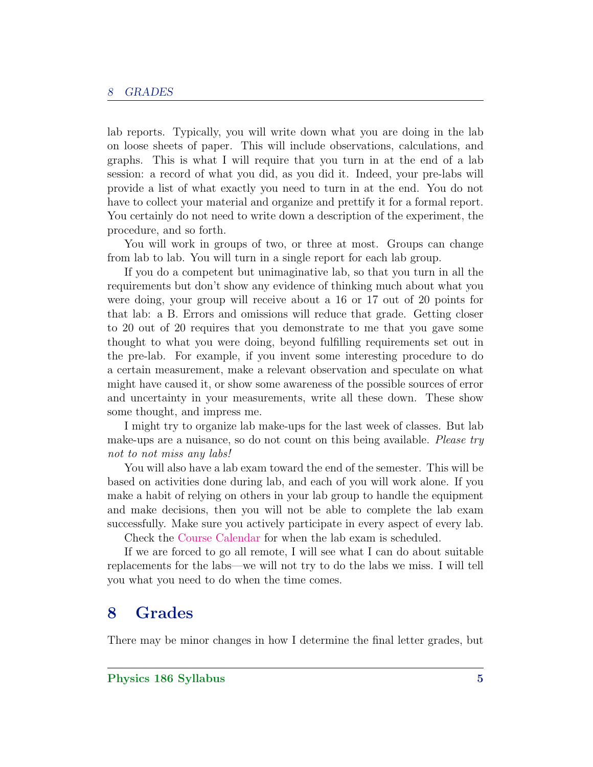lab reports. Typically, you will write down what you are doing in the lab on loose sheets of paper. This will include observations, calculations, and graphs. This is what I will require that you turn in at the end of a lab session: a record of what you did, as you did it. Indeed, your pre-labs will provide a list of what exactly you need to turn in at the end. You do not have to collect your material and organize and prettify it for a formal report. You certainly do not need to write down a description of the experiment, the procedure, and so forth.

You will work in groups of two, or three at most. Groups can change from lab to lab. You will turn in a single report for each lab group.

If you do a competent but unimaginative lab, so that you turn in all the requirements but don't show any evidence of thinking much about what you were doing, your group will receive about a 16 or 17 out of 20 points for that lab: a B. Errors and omissions will reduce that grade. Getting closer to 20 out of 20 requires that you demonstrate to me that you gave some thought to what you were doing, beyond fulfilling requirements set out in the pre-lab. For example, if you invent some interesting procedure to do a certain measurement, make a relevant observation and speculate on what might have caused it, or show some awareness of the possible sources of error and uncertainty in your measurements, write all these down. These show some thought, and impress me.

I might try to organize lab make-ups for the last week of classes. But lab make-ups are a nuisance, so do not count on this being available. Please try not to not miss any labs!

You will also have a lab exam toward the end of the semester. This will be based on activities done during lab, and each of you will work alone. If you make a habit of relying on others in your lab group to handle the equipment and make decisions, then you will not be able to complete the lab exam successfully. Make sure you actively participate in every aspect of every lab.

Check the [Course Calendar](http://edis.sites.truman.edu/college-physics-ii/course-calendar/) for when the lab exam is scheduled.

If we are forced to go all remote, I will see what I can do about suitable replacements for the labs—we will not try to do the labs we miss. I will tell you what you need to do when the time comes.

# 8 Grades

There may be minor changes in how I determine the final letter grades, but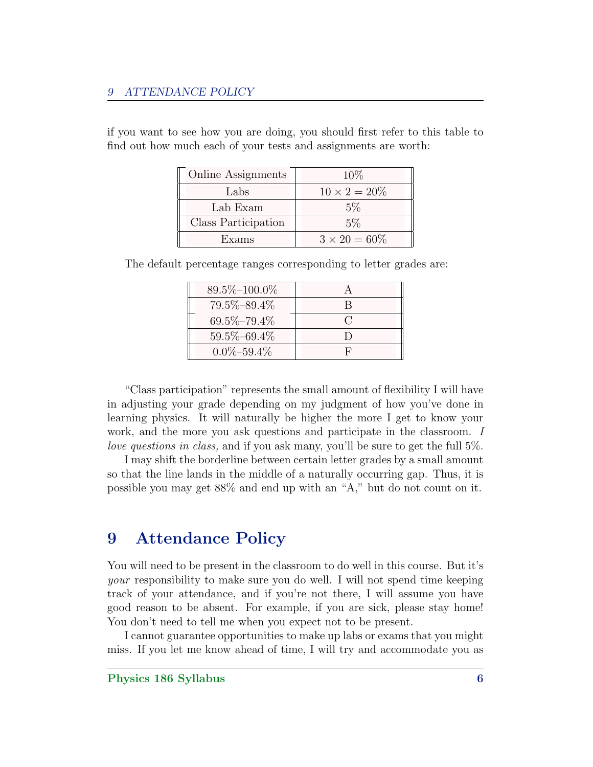#### 9 ATTENDANCE POLICY

if you want to see how you are doing, you should first refer to this table to find out how much each of your tests and assignments are worth:

| <b>Online Assignments</b> | $10\%$               |
|---------------------------|----------------------|
| Labs                      | $10 \times 2 = 20\%$ |
| Lab Exam                  | $5\%$                |
| Class Participation       | $5\%$                |
| Exams                     | $3 \times 20 = 60\%$ |

The default percentage ranges corresponding to letter grades are:

| $89.5\% - 100.0\%$ |        |
|--------------------|--------|
| 79.5%-89.4%        | R      |
| $69.5\% - 79.4\%$  | $\cap$ |
| $59.5\% - 69.4\%$  |        |
| $0.0\% - 59.4\%$   | F      |

"Class participation" represents the small amount of flexibility I will have in adjusting your grade depending on my judgment of how you've done in learning physics. It will naturally be higher the more I get to know your work, and the more you ask questions and participate in the classroom. I love questions in class, and if you ask many, you'll be sure to get the full 5%.

I may shift the borderline between certain letter grades by a small amount so that the line lands in the middle of a naturally occurring gap. Thus, it is possible you may get 88% and end up with an "A," but do not count on it.

# 9 Attendance Policy

You will need to be present in the classroom to do well in this course. But it's your responsibility to make sure you do well. I will not spend time keeping track of your attendance, and if you're not there, I will assume you have good reason to be absent. For example, if you are sick, please stay home! You don't need to tell me when you expect not to be present.

I cannot guarantee opportunities to make up labs or exams that you might miss. If you let me know ahead of time, I will try and accommodate you as